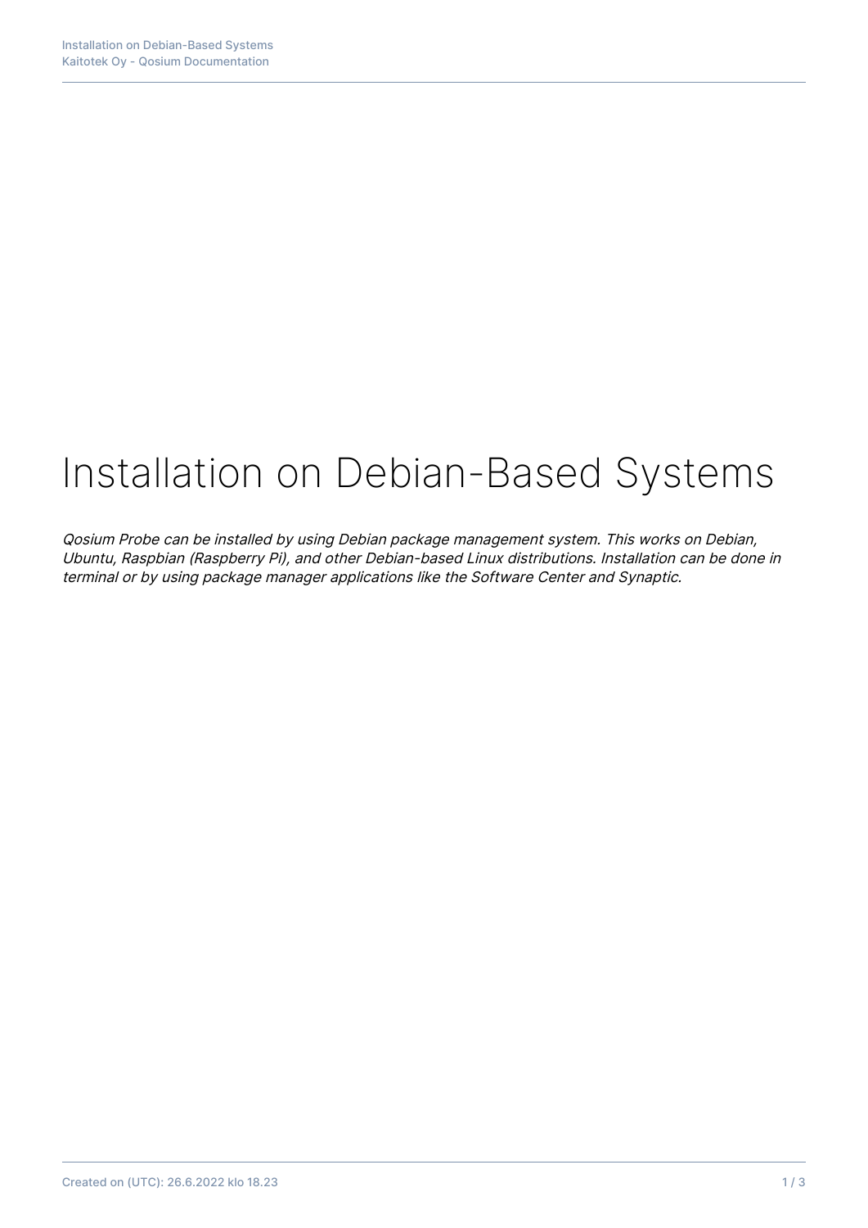# Installation on Debian-Based Systems

Qosium Probe can be installed by using Debian package management system. This works on Debian, Ubuntu, Raspbian (Raspberry Pi), and other Debian-based Linux distributions. Installation can be done in terminal or by using package manager applications like the Software Center and Synaptic.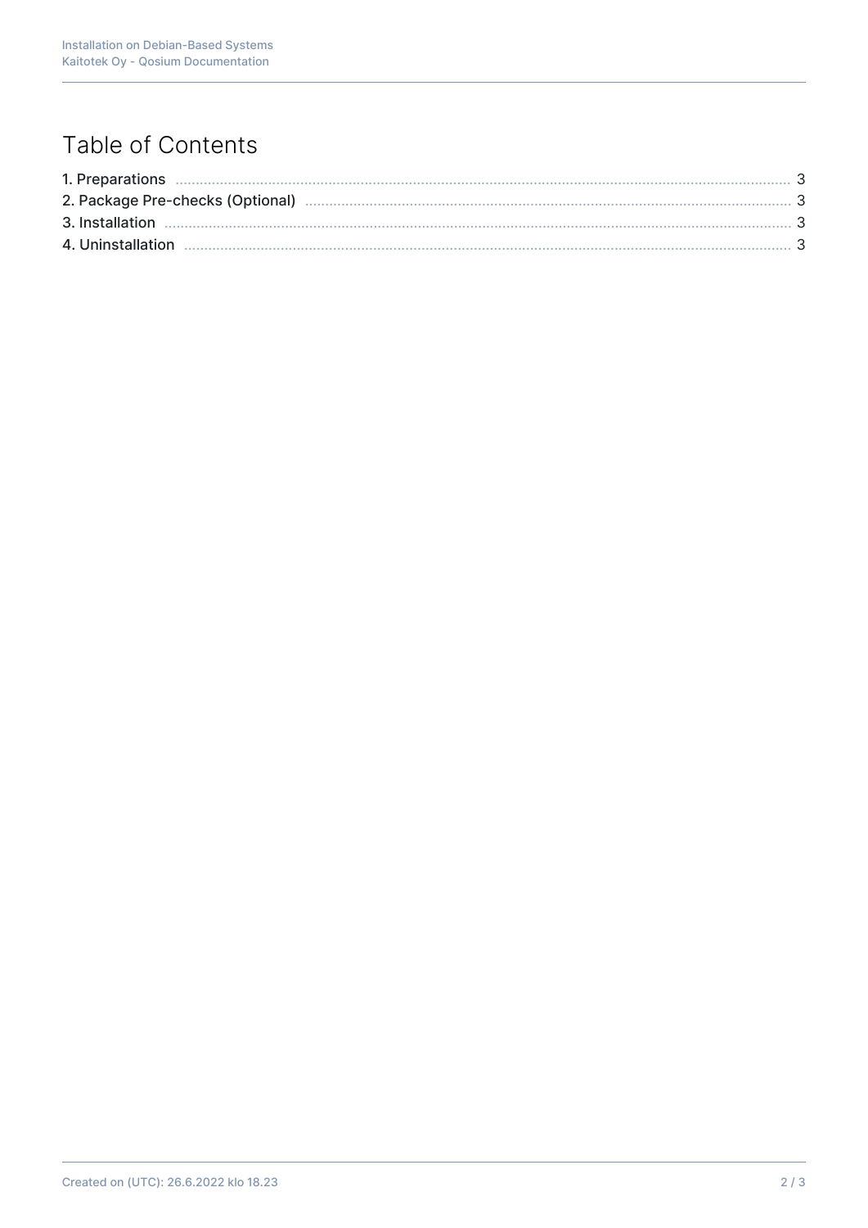# Table of Contents

| 2. Package Pre-checks (Optional) manufactured and continuum manufactured and 3 |  |
|--------------------------------------------------------------------------------|--|
|                                                                                |  |
|                                                                                |  |